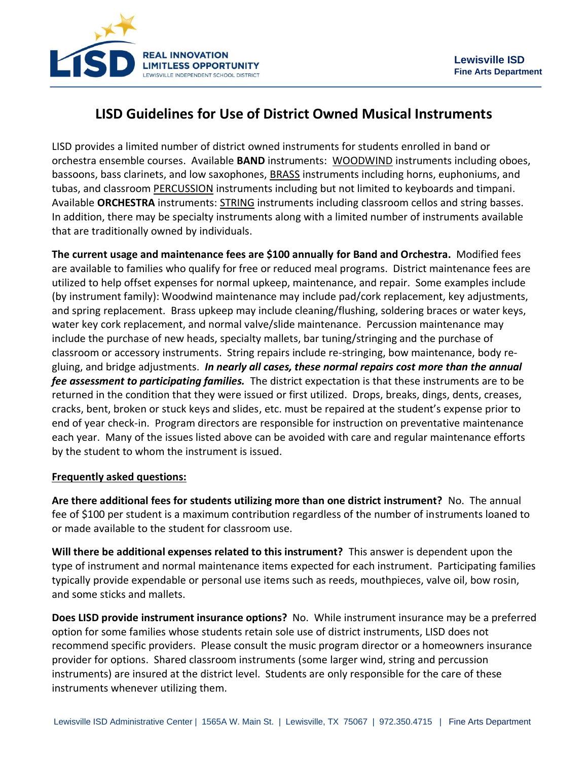

## **LISD Guidelines for Use of District Owned Musical Instruments**

LISD provides a limited number of district owned instruments for students enrolled in band or orchestra ensemble courses. Available **BAND** instruments: WOODWIND instruments including oboes, bassoons, bass clarinets, and low saxophones, BRASS instruments including horns, euphoniums, and tubas, and classroom PERCUSSION instruments including but not limited to keyboards and timpani. Available **ORCHESTRA** instruments: STRING instruments including classroom cellos and string basses. In addition, there may be specialty instruments along with a limited number of instruments available that are traditionally owned by individuals.

**The current usage and maintenance fees are \$100 annually for Band and Orchestra.** Modified fees are available to families who qualify for free or reduced meal programs. District maintenance fees are utilized to help offset expenses for normal upkeep, maintenance, and repair. Some examples include (by instrument family): Woodwind maintenance may include pad/cork replacement, key adjustments, and spring replacement. Brass upkeep may include cleaning/flushing, soldering braces or water keys, water key cork replacement, and normal valve/slide maintenance. Percussion maintenance may include the purchase of new heads, specialty mallets, bar tuning/stringing and the purchase of classroom or accessory instruments. String repairs include re-stringing, bow maintenance, body regluing, and bridge adjustments. *In nearly all cases, these normal repairs cost more than the annual fee assessment to participating families.* The district expectation is that these instruments are to be returned in the condition that they were issued or first utilized. Drops, breaks, dings, dents, creases, cracks, bent, broken or stuck keys and slides, etc. must be repaired at the student's expense prior to end of year check-in. Program directors are responsible for instruction on preventative maintenance each year. Many of the issues listed above can be avoided with care and regular maintenance efforts by the student to whom the instrument is issued.

## **Frequently asked questions:**

**Are there additional fees for students utilizing more than one district instrument?** No. The annual fee of \$100 per student is a maximum contribution regardless of the number of instruments loaned to or made available to the student for classroom use.

**Will there be additional expenses related to this instrument?** This answer is dependent upon the type of instrument and normal maintenance items expected for each instrument. Participating families typically provide expendable or personal use items such as reeds, mouthpieces, valve oil, bow rosin, and some sticks and mallets.

**Does LISD provide instrument insurance options?** No.While instrument insurance may be a preferred option for some families whose students retain sole use of district instruments, LISD does not recommend specific providers. Please consult the music program director or a homeowners insurance provider for options. Shared classroom instruments (some larger wind, string and percussion instruments) are insured at the district level. Students are only responsible for the care of these instruments whenever utilizing them.